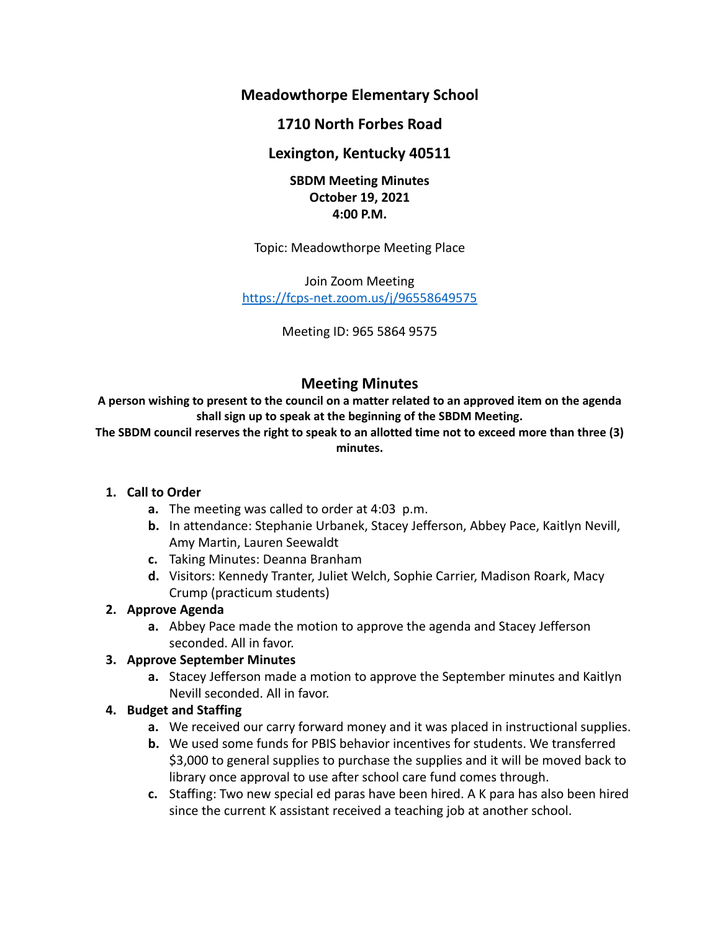**Meadowthorpe Elementary School**

# **1710 North Forbes Road**

# **Lexington, Kentucky 40511**

#### **SBDM Meeting Minutes October 19, 2021 4:00 P.M.**

Topic: Meadowthorpe Meeting Place

Join Zoom Meeting <https://fcps-net.zoom.us/j/96558649575>

Meeting ID: 965 5864 9575

# **Meeting Minutes**

A person wishing to present to the council on a matter related to an approved item on the agenda **shall sign up to speak at the beginning of the SBDM Meeting.**

The SBDM council reserves the right to speak to an allotted time not to exceed more than three (3) **minutes.**

#### **1. Call to Order**

- **a.** The meeting was called to order at 4:03 p.m.
- **b.** In attendance: Stephanie Urbanek, Stacey Jefferson, Abbey Pace, Kaitlyn Nevill, Amy Martin, Lauren Seewaldt
- **c.** Taking Minutes: Deanna Branham
- **d.** Visitors: Kennedy Tranter, Juliet Welch, Sophie Carrier, Madison Roark, Macy Crump (practicum students)

## **2. Approve Agenda**

**a.** Abbey Pace made the motion to approve the agenda and Stacey Jefferson seconded. All in favor.

## **3. Approve September Minutes**

**a.** Stacey Jefferson made a motion to approve the September minutes and Kaitlyn Nevill seconded. All in favor.

## **4. Budget and Staffing**

- **a.** We received our carry forward money and it was placed in instructional supplies.
- **b.** We used some funds for PBIS behavior incentives for students. We transferred \$3,000 to general supplies to purchase the supplies and it will be moved back to library once approval to use after school care fund comes through.
- **c.** Staffing: Two new special ed paras have been hired. A K para has also been hired since the current K assistant received a teaching job at another school.